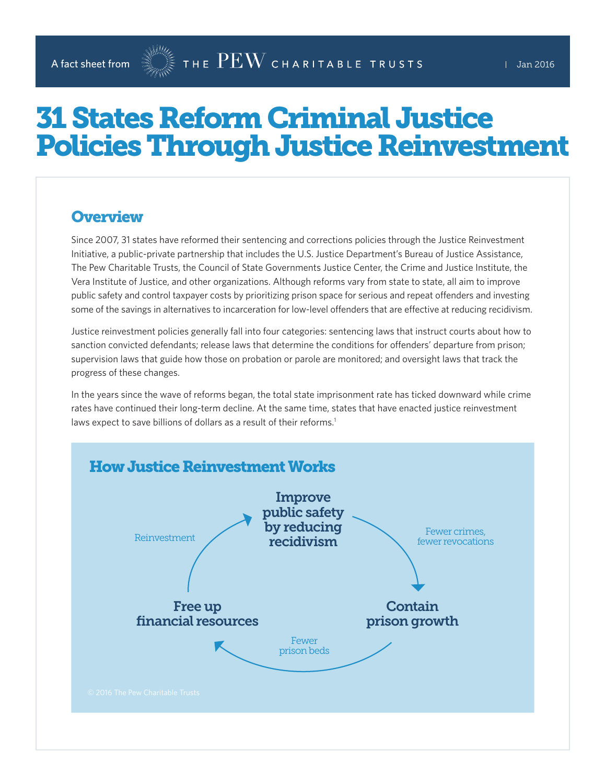# 31 States Reform Criminal Justice Policies Through Justice Reinvestment

#### **Overview**

Since 2007, 31 states have reformed their sentencing and corrections policies through the Justice Reinvestment Initiative, a public-private partnership that includes the U.S. Justice Department's Bureau of Justice Assistance, The Pew Charitable Trusts, the Council of State Governments Justice Center, the Crime and Justice Institute, the Vera Institute of Justice, and other organizations. Although reforms vary from state to state, all aim to improve public safety and control taxpayer costs by prioritizing prison space for serious and repeat offenders and investing some of the savings in alternatives to incarceration for low-level offenders that are effective at reducing recidivism.

Justice reinvestment policies generally fall into four categories: sentencing laws that instruct courts about how to sanction convicted defendants; release laws that determine the conditions for offenders' departure from prison; supervision laws that guide how those on probation or parole are monitored; and oversight laws that track the progress of these changes.

In the years since the wave of reforms began, the total state imprisonment rate has ticked downward while crime rates have continued their long-term decline. At the same time, states that have enacted justice reinvestment laws expect to save billions of dollars as a result of their reforms.<sup>1</sup>

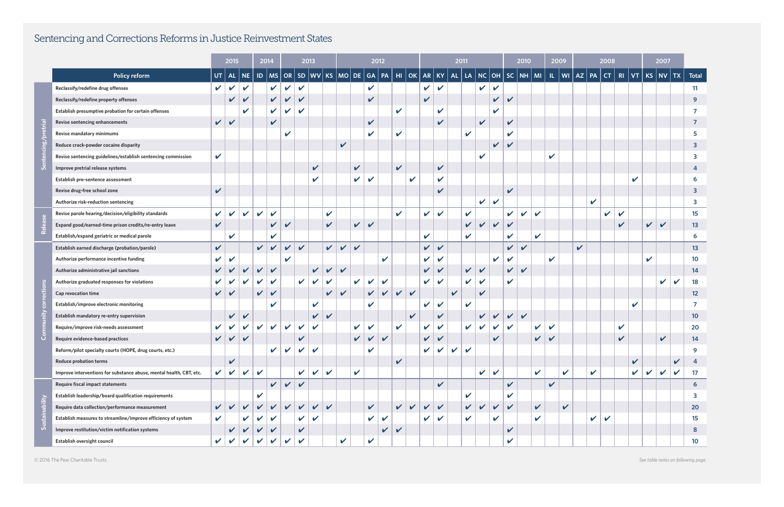|                |                                                                     |               | 2015                      |                            |                            | 2014                       |                            | 2013                       |                            |                              | 2012                          |              |              |                    |                            |              | 2011                       |                            |              |                            |                            |                            | 2010                       |              |              | 2009                       |              |             | 2008                       |                            |                            |              | 2007         |              |                         |                         |
|----------------|---------------------------------------------------------------------|---------------|---------------------------|----------------------------|----------------------------|----------------------------|----------------------------|----------------------------|----------------------------|------------------------------|-------------------------------|--------------|--------------|--------------------|----------------------------|--------------|----------------------------|----------------------------|--------------|----------------------------|----------------------------|----------------------------|----------------------------|--------------|--------------|----------------------------|--------------|-------------|----------------------------|----------------------------|----------------------------|--------------|--------------|--------------|-------------------------|-------------------------|
|                | <b>Policy reform</b>                                                | UT            | <b>AL</b>                 | NE.                        |                            | $ID$   MS                  |                            |                            | $OR$ SD $ WV $             | <b>KS</b>                    | $\vert$ MO $\vert$ DE $\vert$ |              | GA           | PA                 | $HI$ OK                    |              | <b>AR</b>                  | <b>KY</b>                  | <b>AL</b>    | LA                         | $NC$   OH                  |                            |                            | $SC$ NH $M$  |              |                            | $ I $   WI   | $AZ$ PA     |                            | $\vert$ CT $\vert$         |                            | $RI$ $VT$    |              | $KS$ NV $TX$ |                         | <b>Total</b>            |
|                | Reclassify/redefine drug offenses                                   |               | $\mathsf{v}$ $\mathsf{v}$ | $\mathbf v$                |                            | $\mathbf v$                | $\mathbf v$                | $\checkmark$               |                            |                              |                               |              | $\mathbf v$  |                    |                            |              | $\checkmark$               | $\mathbf v$                |              |                            | $\mathbf v$                | $\mathbf v$                |                            |              |              |                            |              |             |                            |                            |                            |              |              |              |                         | 11                      |
|                | Reclassify/redefine property offenses                               |               | V                         | $\boldsymbol{\mathcal{U}}$ |                            | $\boldsymbol{\mathcal{U}}$ | $\mathbf{v}$               | $\boldsymbol{\mathcal{U}}$ |                            |                              |                               |              | V            |                    |                            |              | V                          |                            |              |                            |                            | V                          | $\boldsymbol{\mathcal{U}}$ |              |              |                            |              |             |                            |                            |                            |              |              |              |                         | 9                       |
|                | Establish presumptive probation for certain offenses                |               |                           | ✔                          |                            | $\mathbf v$                | $\mathbf{v}$               | $\boldsymbol{\nu}$         |                            |                              |                               |              |              |                    | $\boldsymbol{\nu}$         |              |                            | V                          |              |                            |                            | $\boldsymbol{\mathcal{L}}$ |                            |              |              |                            |              |             |                            |                            |                            |              |              |              |                         | 7                       |
|                | Revise sentencing enhancements                                      |               | $\boldsymbol{v}$          |                            |                            | $\checkmark$               |                            |                            |                            |                              |                               |              | V            |                    |                            |              |                            | $\boldsymbol{\mathcal{U}}$ |              |                            | $\boldsymbol{\mathcal{U}}$ |                            | $\checkmark$               |              |              |                            |              |             |                            |                            |                            |              |              |              |                         | 7                       |
|                | Revise mandatory minimums                                           |               |                           |                            |                            |                            | $\boldsymbol{\mathcal{L}}$ |                            |                            |                              |                               |              | V            |                    | $\mathbf{v}$               |              |                            |                            |              | $\checkmark$               |                            |                            | $\mathbf{v}$               |              |              |                            |              |             |                            |                            |                            |              |              |              |                         | 5                       |
|                | Reduce crack-powder cocaine disparity                               |               |                           |                            |                            |                            |                            |                            |                            |                              | $\checkmark$                  |              |              |                    |                            |              |                            |                            |              |                            |                            | $\mathbf v$                | $\mathbf v$                |              |              |                            |              |             |                            |                            |                            |              |              |              |                         | 3                       |
|                | Revise sentencing guidelines/establish sentencing commission        | $\checkmark$  |                           |                            |                            |                            |                            |                            |                            |                              |                               |              |              |                    |                            |              |                            |                            |              |                            | $\overline{\mathbf{v}}$    |                            |                            |              |              | V                          |              |             |                            |                            |                            |              |              |              |                         | 3                       |
|                | Improve pretrial release systems                                    |               |                           |                            |                            |                            |                            |                            | $\checkmark$               |                              |                               | $\checkmark$ |              |                    | $\checkmark$               |              |                            | $\mathbf v$                |              |                            |                            |                            |                            |              |              |                            |              |             |                            |                            |                            |              |              |              |                         | 4                       |
|                | Establish pre-sentence assessment                                   |               |                           |                            |                            |                            |                            |                            | $\boldsymbol{\mathcal{U}}$ |                              |                               | $\checkmark$ | V            |                    |                            | V            |                            | V                          |              |                            |                            |                            |                            |              |              |                            |              |             |                            |                            |                            | $\mathbf v$  |              |              |                         | 6                       |
|                | Revise drug-free school zone                                        | $\checkmark$  |                           |                            |                            |                            |                            |                            |                            |                              |                               |              |              |                    |                            |              |                            |                            |              |                            |                            |                            | $\checkmark$               |              |              |                            |              |             |                            |                            |                            |              |              |              |                         | 3                       |
|                | Authorize risk-reduction sentencing                                 |               |                           |                            |                            |                            |                            |                            |                            |                              |                               |              |              |                    |                            |              |                            |                            |              |                            | $\checkmark$               | $\mathbf v$                |                            |              |              |                            |              |             | $\checkmark$               |                            |                            |              |              |              |                         | $\overline{\mathbf{3}}$ |
|                | Revise parole hearing/decision/eligibility standards                | V             | $\boldsymbol{\nu}$        | $\boldsymbol{\nu}$         | $\mathbf{v}$               | $\mathbf{v}$               |                            |                            |                            | $\mathbf v$                  |                               |              |              |                    | $\boldsymbol{\mathcal{U}}$ |              | $\checkmark$               | $\checkmark$               |              | $\checkmark$               |                            |                            | $\mathbf{v}$               | $\mathbf{v}$ | $\mathbf{v}$ |                            |              |             |                            | V                          | $\boldsymbol{\mathcal{U}}$ |              |              |              |                         | 15                      |
|                | Expand good/earned-time prison credits/re-entry leave               | $\checkmark$  |                           |                            |                            | $\checkmark$               | $\checkmark$               |                            |                            | $\checkmark$                 |                               | $\checkmark$ | V            |                    |                            |              |                            |                            |              | $\checkmark$               | $\vee$                     | $\checkmark$               | $\checkmark$               |              |              |                            |              |             |                            |                            | $\boldsymbol{\mathcal{U}}$ |              | $\checkmark$ | $\checkmark$ |                         | 13                      |
|                | Establish/expand geriatric or medical parole                        |               | $\boldsymbol{\nu}$        |                            |                            | $\boldsymbol{\mathcal{U}}$ |                            |                            |                            |                              |                               |              |              |                    |                            |              | V                          |                            |              | V                          |                            |                            | V                          |              | V            |                            |              |             |                            |                            |                            |              |              |              |                         | 6                       |
|                | Establish earned discharge (probation/parole)                       | $\checkmark$  |                           |                            |                            | $\mathsf{v}$ $\mathsf{v}$  | $\mathbf v$                | $\checkmark$               |                            | $\vert$                      | $\mathbf{v}$                  | $\checkmark$ |              |                    |                            |              | $\mathsf{v}$ $\mathsf{v}$  |                            |              |                            |                            |                            | $\vee$                     | $\mathbf v$  |              |                            |              | $\mathbf v$ |                            |                            |                            |              |              |              |                         | 13                      |
|                | Authorize performance incentive funding                             | V             | $\mathbf v$               |                            |                            |                            | V                          |                            |                            |                              |                               |              |              | $\boldsymbol{\nu}$ |                            |              | $\checkmark$               | V                          |              |                            |                            |                            |                            |              |              | V                          |              |             |                            |                            |                            |              | V            |              |                         | 10                      |
|                | Authorize administrative jail sanctions                             |               |                           |                            | $\boldsymbol{\mathcal{U}}$ | $\checkmark$               |                            |                            | $\checkmark$               | $\mathbf{v}$<br>$\checkmark$ |                               |              |              |                    |                            |              | $\checkmark$               | $\boldsymbol{\mathcal{U}}$ |              | V                          | $\checkmark$               |                            | $\vee$                     | $\checkmark$ |              |                            |              |             |                            |                            |                            |              |              |              |                         | 14                      |
|                | Authorize graduated responses for violations                        | V             |                           |                            | $\mathbf{v}$               | $\mathbf v$                |                            | $\checkmark$               | $\mathbf v$                | $\boldsymbol{\mathcal{U}}$   |                               | $\checkmark$ | $\mathbf v$  | $\checkmark$       |                            |              | $\mathbf v$                | $\boldsymbol{\mathcal{U}}$ |              | V                          | ✔                          |                            | $\boldsymbol{\nu}$         |              |              |                            |              |             |                            |                            |                            |              |              | $\mathbf v$  | $\overline{\mathbf{v}}$ | 18                      |
|                | Cap revocation time                                                 |               | $\boldsymbol{v}$          |                            | $\mathbf v$                | $\checkmark$               |                            |                            |                            | $\checkmark$                 | $\checkmark$                  |              | $\checkmark$ | $\mathbf v$        | $\mathbf{v}$               | $\checkmark$ |                            |                            | $\checkmark$ |                            | $\boldsymbol{\mathcal{U}}$ |                            |                            |              |              |                            |              |             |                            |                            |                            |              |              |              |                         | 12                      |
|                | Establish/improve electronic monitoring                             |               |                           |                            |                            | $\mathbf{v}$               |                            |                            | V                          |                              |                               |              |              |                    |                            |              | $\mathbf v$                | V                          |              | $\boldsymbol{\mathcal{U}}$ |                            |                            |                            |              |              |                            |              |             |                            |                            |                            | $\mathbf v$  |              |              |                         |                         |
|                | Establish mandatory re-entry supervision                            |               | $\checkmark$              | $\checkmark$               |                            |                            |                            |                            | $\checkmark$               | $\checkmark$                 |                               |              |              |                    |                            |              |                            | V                          |              |                            | $\checkmark$               | $\checkmark$               | $\vee$                     | $\checkmark$ |              |                            |              |             |                            |                            |                            |              |              |              |                         | 10                      |
|                | Require/improve risk-needs assessment                               |               |                           |                            | $\checkmark$               | $\mathbf{v}$               | $\checkmark$               | $\checkmark$               | $\mathbf v$                |                              |                               | $\checkmark$ | V            |                    | $\checkmark$               |              | $\checkmark$               | V                          |              | $\checkmark$               | $\mathbf v$                | $\boldsymbol{\mathcal{U}}$ | $\mathbf v$                |              | $\mathbf v$  | $\boldsymbol{\mathcal{U}}$ |              |             |                            |                            |                            |              |              |              |                         | 20                      |
|                | Require evidence-based practices                                    | V             | V                         |                            |                            |                            |                            |                            |                            |                              |                               |              |              |                    |                            |              | $\boldsymbol{\mathcal{U}}$ |                            |              |                            |                            | $\mathbf v$                |                            |              |              |                            |              |             |                            |                            | V                          |              |              | V            |                         | 14                      |
|                | Reform/pilot specialty courts (HOPE, drug courts, etc.)             |               |                           |                            |                            | $\mathbf{v}$               | $\mathbf{v}$               | $\mathbf v$                | $\mathbf v$                |                              |                               |              | V            |                    |                            |              | $\checkmark$               | $\mathbf v$                | $\mathbf v$  | $\mathbf v$                |                            |                            |                            |              |              |                            |              |             |                            |                            |                            |              |              |              |                         | 9                       |
|                | <b>Reduce probation terms</b>                                       |               | $\checkmark$              |                            |                            |                            |                            |                            |                            |                              |                               |              |              |                    | $\checkmark$               |              |                            |                            |              |                            |                            |                            |                            |              |              |                            |              |             |                            |                            |                            | $\checkmark$ |              |              | V                       | -4                      |
|                | Improve interventions for substance abuse, mental health, CBT, etc. | $\mathbf v$   | $\mathbf{v}$              | V                          | $\mathbf v$                |                            |                            | $\mathbf v$                | $\mathbf v$                | $\checkmark$                 |                               | $\mathbf v$  |              |                    |                            |              |                            |                            |              |                            | $\checkmark$               | $\boldsymbol{\nu}$         |                            |              | $\checkmark$ |                            | $\mathbf v$  |             | $\boldsymbol{\mathcal{U}}$ |                            |                            | $\mathbf v$  | $\mathbf v$  | $\mathbf v$  | $\checkmark$            | 17                      |
| Sustainability | Require fiscal impact statements                                    |               |                           |                            |                            | $\checkmark$               | $\sqrt{2}$                 | $\overline{\mathbf{v}}$    |                            |                              |                               |              |              |                    |                            |              |                            | $\boldsymbol{\mathcal{U}}$ |              |                            |                            |                            | $\checkmark$               |              |              | $\checkmark$               |              |             |                            |                            |                            |              |              |              |                         | $6 \overline{6}$        |
|                | Establish leadership/board qualification requirements               |               |                           |                            | $\boldsymbol{\mathcal{U}}$ |                            |                            |                            |                            |                              |                               |              |              |                    |                            |              |                            |                            |              | V                          |                            |                            | $\boldsymbol{\mathcal{U}}$ |              |              |                            |              |             |                            |                            |                            |              |              |              |                         | $\overline{\mathbf{3}}$ |
|                | Require data collection/performance measurement                     | $\mathbf{v}$  | $\sqrt{2}$                | $\boldsymbol{\mathcal{U}}$ | $\mathbf{v}$               | $\mathbf v$                | $\sqrt{2}$                 | $\checkmark$               | $\mathbf{v}$               | $\checkmark$                 |                               |              | V            |                    | $\checkmark$               | $\vee$       | $\checkmark$               | $\checkmark$               |              | $\checkmark$               | $\checkmark$               | $\mathbf v$                | $\mathbf{v}$               |              | $\checkmark$ |                            | $\checkmark$ |             |                            |                            |                            |              |              |              |                         | 20                      |
|                | Establish measures to streamline/improve efficiency of system       | $\mathbf v$   |                           |                            |                            | $\checkmark$               |                            | $\checkmark$               | $\mathbf v$                |                              |                               |              | V            | $\checkmark$       |                            |              | $\mathbf v$                | $\mathbf v$                |              | $\checkmark$               |                            | V                          |                            |              | $\mathbf v$  |                            |              |             | V                          | $\boldsymbol{\mathcal{U}}$ |                            |              |              |              |                         | 15                      |
|                | Improve restitution/victim notification systems                     |               | $\mathbf v$               | $\boldsymbol{\nu}$         | $\mathbf{v}$               | $\boldsymbol{\mathcal{U}}$ |                            | $\boldsymbol{\mathcal{U}}$ |                            |                              |                               |              |              | V                  | $\checkmark$               |              |                            |                            |              |                            |                            |                            | $\mathbf v$                |              |              |                            |              |             |                            |                            |                            |              |              |              |                         | 8 <sup>8</sup>          |
|                | Establish oversight council                                         | $\mathcal{V}$ |                           |                            | $\mathbf{v}$               | $\mathbf v$                | $\mathbf v$                | $\mathbf v$                |                            |                              | $\boldsymbol{\mathcal{U}}$    |              | V            |                    |                            |              |                            |                            |              |                            |                            |                            | $\mathbf{v}$               |              |              |                            |              |             |                            |                            |                            |              |              |              |                         | 10 <sub>o</sub>         |

## Sentencing and Corrections Reforms in Justice Reinvestment States

© 2016 The Pew Charitable Trusts *See table notes on following page.*